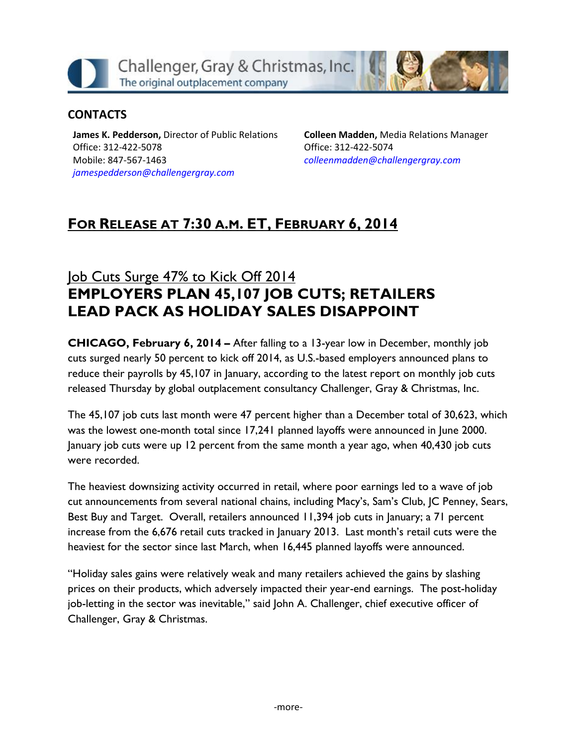Challenger, Gray & Christmas, Inc. The original outplacement company

### **CONTACTS**

**James K. Pedderson,** Director of Public Relations Office: 312-422-5078 Mobile: 847-567-1463 *[jamespedderson@challengergray.com](mailto:jamespedderson@challengergray.com)*

**Colleen Madden,** Media Relations Manager Office: 312-422-5074 *[colleenmadden@challengergray.com](mailto:colleenmadden@challengergray.com)*

# **FOR RELEASE AT 7:30 A.M. ET, FEBRUARY 6, 2014**

# Job Cuts Surge 47% to Kick Off 2014 **EMPLOYERS PLAN 45,107 JOB CUTS; RETAILERS LEAD PACK AS HOLIDAY SALES DISAPPOINT**

**CHICAGO, February 6, 2014 –** After falling to a 13-year low in December, monthly job cuts surged nearly 50 percent to kick off 2014, as U.S.-based employers announced plans to reduce their payrolls by 45,107 in January, according to the latest report on monthly job cuts released Thursday by global outplacement consultancy Challenger, Gray & Christmas, Inc.

The 45,107 job cuts last month were 47 percent higher than a December total of 30,623, which was the lowest one-month total since 17,241 planned layoffs were announced in June 2000. January job cuts were up 12 percent from the same month a year ago, when 40,430 job cuts were recorded.

The heaviest downsizing activity occurred in retail, where poor earnings led to a wave of job cut announcements from several national chains, including Macy's, Sam's Club, JC Penney, Sears, Best Buy and Target. Overall, retailers announced 11,394 job cuts in January; a 71 percent increase from the 6,676 retail cuts tracked in January 2013. Last month's retail cuts were the heaviest for the sector since last March, when 16,445 planned layoffs were announced.

"Holiday sales gains were relatively weak and many retailers achieved the gains by slashing prices on their products, which adversely impacted their year-end earnings. The post-holiday job-letting in the sector was inevitable," said John A. Challenger, chief executive officer of Challenger, Gray & Christmas.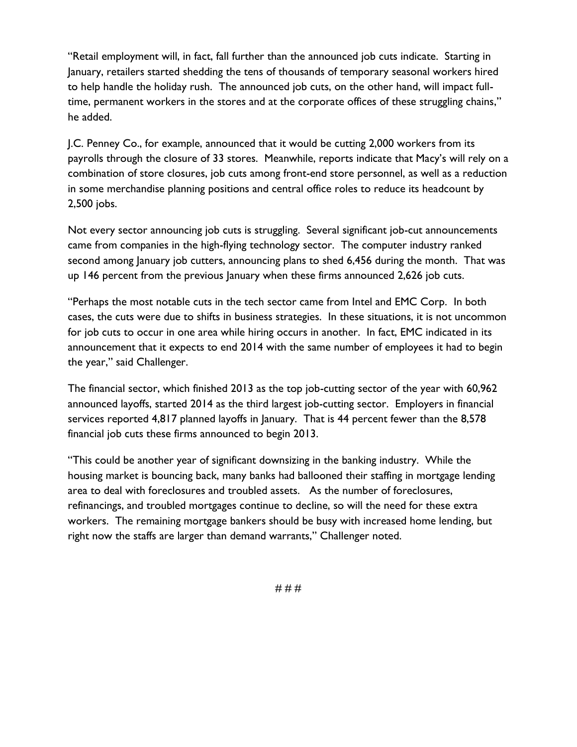"Retail employment will, in fact, fall further than the announced job cuts indicate. Starting in January, retailers started shedding the tens of thousands of temporary seasonal workers hired to help handle the holiday rush. The announced job cuts, on the other hand, will impact fulltime, permanent workers in the stores and at the corporate offices of these struggling chains," he added.

J.C. Penney Co., for example, announced that it would be cutting 2,000 workers from its payrolls through the closure of 33 stores. Meanwhile, reports indicate that Macy's will rely on a combination of store closures, job cuts among front-end store personnel, as well as a reduction in some merchandise planning positions and central office roles to reduce its headcount by 2,500 jobs.

Not every sector announcing job cuts is struggling. Several significant job-cut announcements came from companies in the high-flying technology sector. The computer industry ranked second among January job cutters, announcing plans to shed 6,456 during the month. That was up 146 percent from the previous January when these firms announced 2,626 job cuts.

"Perhaps the most notable cuts in the tech sector came from Intel and EMC Corp. In both cases, the cuts were due to shifts in business strategies. In these situations, it is not uncommon for job cuts to occur in one area while hiring occurs in another. In fact, EMC indicated in its announcement that it expects to end 2014 with the same number of employees it had to begin the year," said Challenger.

The financial sector, which finished 2013 as the top job-cutting sector of the year with 60,962 announced layoffs, started 2014 as the third largest job-cutting sector. Employers in financial services reported 4,817 planned layoffs in January. That is 44 percent fewer than the 8,578 financial job cuts these firms announced to begin 2013.

"This could be another year of significant downsizing in the banking industry. While the housing market is bouncing back, many banks had ballooned their staffing in mortgage lending area to deal with foreclosures and troubled assets. As the number of foreclosures, refinancings, and troubled mortgages continue to decline, so will the need for these extra workers. The remaining mortgage bankers should be busy with increased home lending, but right now the staffs are larger than demand warrants," Challenger noted.

# # #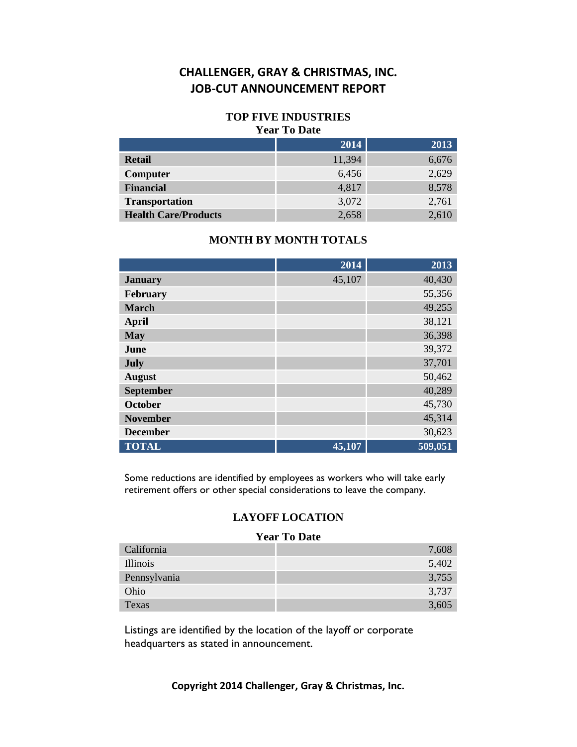#### **TOP FIVE INDUSTRIES Year To Date**

### **2014 2013 Retail** 6,676 **Computer** 6,456 2,629 **Financial** 4,817 8,578 **Transportation** 3,072 2,761 **Health Care/Products** 2,658 2,610

#### **MONTH BY MONTH TOTALS**

|                  | 2014   | 2013    |
|------------------|--------|---------|
| <b>January</b>   | 45,107 | 40,430  |
| February         |        | 55,356  |
| <b>March</b>     |        | 49,255  |
| <b>April</b>     |        | 38,121  |
| <b>May</b>       |        | 36,398  |
| June             |        | 39,372  |
| July             |        | 37,701  |
| <b>August</b>    |        | 50,462  |
| <b>September</b> |        | 40,289  |
| <b>October</b>   |        | 45,730  |
| <b>November</b>  |        | 45,314  |
| <b>December</b>  |        | 30,623  |
| <b>TOTAL</b>     | 45,107 | 509,051 |

Some reductions are identified by employees as workers who will take early retirement offers or other special considerations to leave the company.

### **LAYOFF LOCATION**

#### **Year To Date**

| California      | 7,608 |
|-----------------|-------|
| <i>Illinois</i> | 5,402 |
| Pennsylvania    | 3,755 |
| Ohio            | 3,737 |
| Texas           | 3,605 |

Listings are identified by the location of the layoff or corporate headquarters as stated in announcement.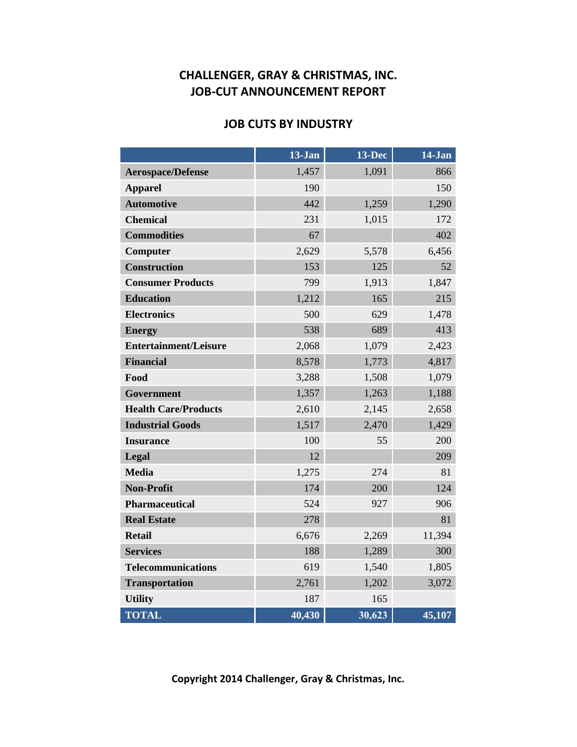### **JOB CUTS BY INDUSTRY**

|                              | 13-Jan | $13 - Dec$ | 14-Jan |
|------------------------------|--------|------------|--------|
| <b>Aerospace/Defense</b>     | 1,457  | 1,091      | 866    |
| <b>Apparel</b>               | 190    |            | 150    |
| <b>Automotive</b>            | 442    | 1,259      | 1,290  |
| <b>Chemical</b>              | 231    | 1,015      | 172    |
| <b>Commodities</b>           | 67     |            | 402    |
| Computer                     | 2,629  | 5,578      | 6,456  |
| <b>Construction</b>          | 153    | 125        | 52     |
| <b>Consumer Products</b>     | 799    | 1,913      | 1,847  |
| <b>Education</b>             | 1,212  | 165        | 215    |
| <b>Electronics</b>           | 500    | 629        | 1,478  |
| <b>Energy</b>                | 538    | 689        | 413    |
| <b>Entertainment/Leisure</b> | 2,068  | 1,079      | 2,423  |
| <b>Financial</b>             | 8,578  | 1,773      | 4,817  |
| Food                         | 3,288  | 1,508      | 1,079  |
| <b>Government</b>            | 1,357  | 1,263      | 1,188  |
| <b>Health Care/Products</b>  | 2,610  | 2,145      | 2,658  |
| <b>Industrial Goods</b>      | 1,517  | 2,470      | 1,429  |
| <b>Insurance</b>             | 100    | 55         | 200    |
| Legal                        | 12     |            | 209    |
| <b>Media</b>                 | 1,275  | 274        | 81     |
| <b>Non-Profit</b>            | 174    | 200        | 124    |
| <b>Pharmaceutical</b>        | 524    | 927        | 906    |
| <b>Real Estate</b>           | 278    |            | 81     |
| <b>Retail</b>                | 6,676  | 2,269      | 11,394 |
| <b>Services</b>              | 188    | 1,289      | 300    |
| <b>Telecommunications</b>    | 619    | 1,540      | 1,805  |
| <b>Transportation</b>        | 2,761  | 1,202      | 3,072  |
| <b>Utility</b>               | 187    | 165        |        |
| <b>TOTAL</b>                 | 40,430 | 30,623     | 45,107 |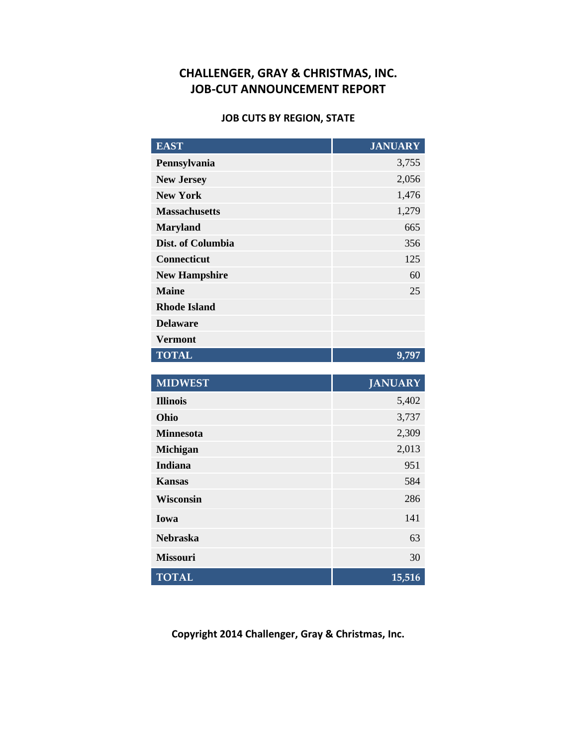#### **JOB CUTS BY REGION, STATE**

| <b>EAST</b>                       | <b>JANUARY</b>          |
|-----------------------------------|-------------------------|
| Pennsylvania                      | 3,755                   |
| <b>New Jersey</b>                 | 2,056                   |
| <b>New York</b>                   | 1,476                   |
| <b>Massachusetts</b>              | 1,279                   |
| <b>Maryland</b>                   | 665                     |
| Dist. of Columbia                 | 356                     |
| <b>Connecticut</b>                | 125                     |
| <b>New Hampshire</b>              | 60                      |
| <b>Maine</b>                      | 25                      |
| <b>Rhode Island</b>               |                         |
| <b>Delaware</b>                   |                         |
| <b>Vermont</b>                    |                         |
|                                   |                         |
| <b>TOTAL</b>                      | 9,797                   |
|                                   |                         |
| <b>MIDWEST</b><br><b>Illinois</b> | <b>JANUARY</b><br>5,402 |
| Ohio                              | 3,737                   |
| <b>Minnesota</b>                  | 2,309                   |
| Michigan                          | 2,013                   |
| <b>Indiana</b>                    | 951                     |
| <b>Kansas</b>                     | 584                     |
| <b>Wisconsin</b>                  | 286                     |
| Iowa                              | 141                     |

**Copyright 2014 Challenger, Gray & Christmas, Inc.**

**Missouri** 30

**TOTAL 15,516**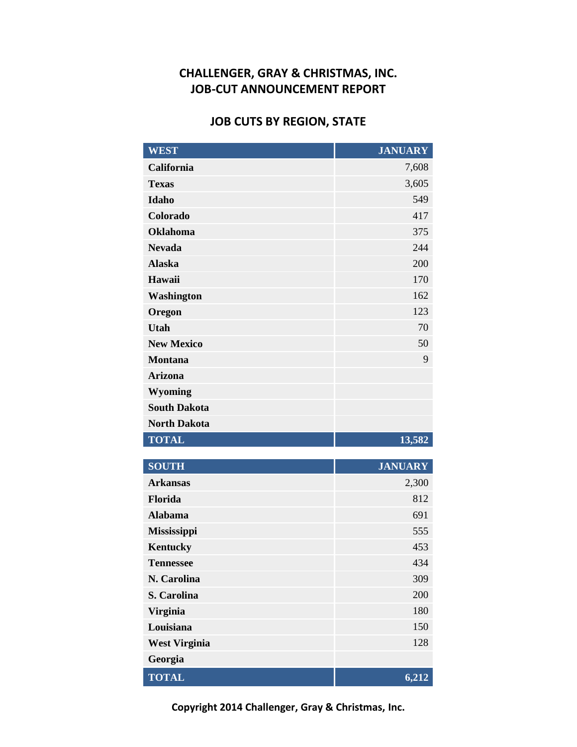# **JOB CUTS BY REGION, STATE**

| <b>WEST</b>          | <b>JANUARY</b> |
|----------------------|----------------|
| California           | 7,608          |
| <b>Texas</b>         | 3,605          |
| <b>Idaho</b>         | 549            |
| Colorado             | 417            |
| <b>Oklahoma</b>      | 375            |
| <b>Nevada</b>        | 244            |
| <b>Alaska</b>        | 200            |
| Hawaii               | 170            |
| Washington           | 162            |
| Oregon               | 123            |
| <b>Utah</b>          | 70             |
| <b>New Mexico</b>    | 50             |
| <b>Montana</b>       | 9              |
| <b>Arizona</b>       |                |
| Wyoming              |                |
| <b>South Dakota</b>  |                |
| <b>North Dakota</b>  |                |
| <b>TOTAL</b>         | 13,582         |
| <b>SOUTH</b>         | <b>JANUARY</b> |
| <b>Arkansas</b>      | 2,300          |
| Florida              | 812            |
| <b>Alabama</b>       | 691            |
| <b>Mississippi</b>   | 555            |
| <b>Kentucky</b>      | 453            |
| <b>Tennessee</b>     | 434            |
| N. Carolina          | 309            |
| S. Carolina          | 200            |
| <b>Virginia</b>      | 180            |
| Louisiana            | 150            |
| <b>West Virginia</b> | 128            |
| Georgia              |                |
| <b>TOTAL</b>         | 6,212          |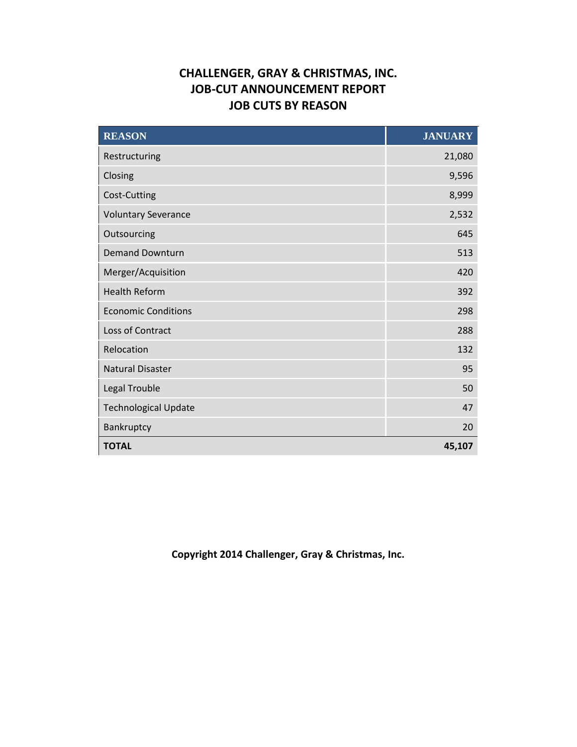# **CHALLENGER, GRAY & CHRISTMAS, INC. JOB-CUT ANNOUNCEMENT REPORT JOB CUTS BY REASON**

| REASON                      | <b>JANUARY</b> |
|-----------------------------|----------------|
| Restructuring               | 21,080         |
| Closing                     | 9,596          |
| Cost-Cutting                | 8,999          |
| <b>Voluntary Severance</b>  | 2,532          |
| Outsourcing                 | 645            |
| <b>Demand Downturn</b>      | 513            |
| Merger/Acquisition          | 420            |
| <b>Health Reform</b>        | 392            |
| <b>Economic Conditions</b>  | 298            |
| Loss of Contract            | 288            |
| Relocation                  | 132            |
| <b>Natural Disaster</b>     | 95             |
| Legal Trouble               | 50             |
| <b>Technological Update</b> | 47             |
| Bankruptcy                  | 20             |
| <b>TOTAL</b>                | 45,107         |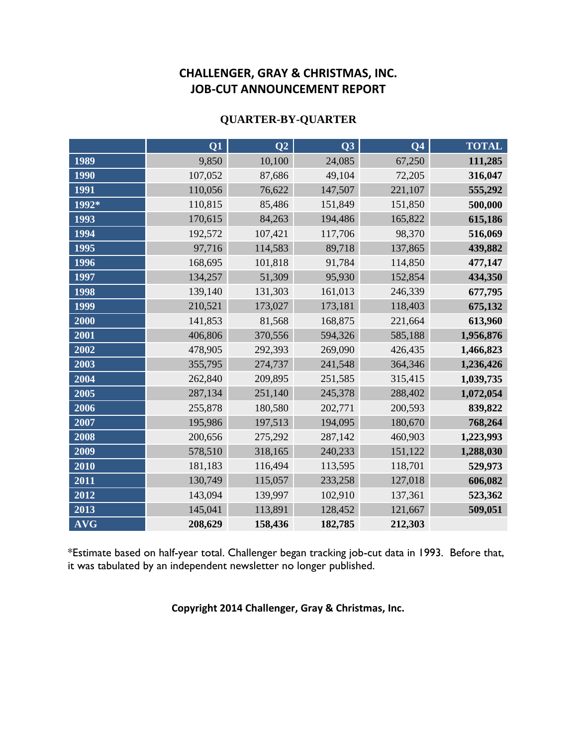#### **QUARTER-BY-QUARTER**

|            | Q1      | Q2      | Q3      | Q <sub>4</sub> | <b>TOTAL</b> |
|------------|---------|---------|---------|----------------|--------------|
| 1989       | 9,850   | 10,100  | 24,085  | 67,250         | 111,285      |
| 1990       | 107,052 | 87,686  | 49,104  | 72,205         | 316,047      |
| 1991       | 110,056 | 76,622  | 147,507 | 221,107        | 555,292      |
| 1992*      | 110,815 | 85,486  | 151,849 | 151,850        | 500,000      |
| 1993       | 170,615 | 84,263  | 194,486 | 165,822        | 615,186      |
| 1994       | 192,572 | 107,421 | 117,706 | 98,370         | 516,069      |
| 1995       | 97,716  | 114,583 | 89,718  | 137,865        | 439,882      |
| 1996       | 168,695 | 101,818 | 91,784  | 114,850        | 477,147      |
| 1997       | 134,257 | 51,309  | 95,930  | 152,854        | 434,350      |
| 1998       | 139,140 | 131,303 | 161,013 | 246,339        | 677,795      |
| 1999       | 210,521 | 173,027 | 173,181 | 118,403        | 675,132      |
| 2000       | 141,853 | 81,568  | 168,875 | 221,664        | 613,960      |
| 2001       | 406,806 | 370,556 | 594,326 | 585,188        | 1,956,876    |
| 2002       | 478,905 | 292,393 | 269,090 | 426,435        | 1,466,823    |
| 2003       | 355,795 | 274,737 | 241,548 | 364,346        | 1,236,426    |
| 2004       | 262,840 | 209,895 | 251,585 | 315,415        | 1,039,735    |
| 2005       | 287,134 | 251,140 | 245,378 | 288,402        | 1,072,054    |
| 2006       | 255,878 | 180,580 | 202,771 | 200,593        | 839,822      |
| 2007       | 195,986 | 197,513 | 194,095 | 180,670        | 768,264      |
| 2008       | 200,656 | 275,292 | 287,142 | 460,903        | 1,223,993    |
| 2009       | 578,510 | 318,165 | 240,233 | 151,122        | 1,288,030    |
| 2010       | 181,183 | 116,494 | 113,595 | 118,701        | 529,973      |
| 2011       | 130,749 | 115,057 | 233,258 | 127,018        | 606,082      |
| 2012       | 143,094 | 139,997 | 102,910 | 137,361        | 523,362      |
| 2013       | 145,041 | 113,891 | 128,452 | 121,667        | 509,051      |
| <b>AVG</b> | 208,629 | 158,436 | 182,785 | 212,303        |              |

\*Estimate based on half-year total. Challenger began tracking job-cut data in 1993. Before that, it was tabulated by an independent newsletter no longer published.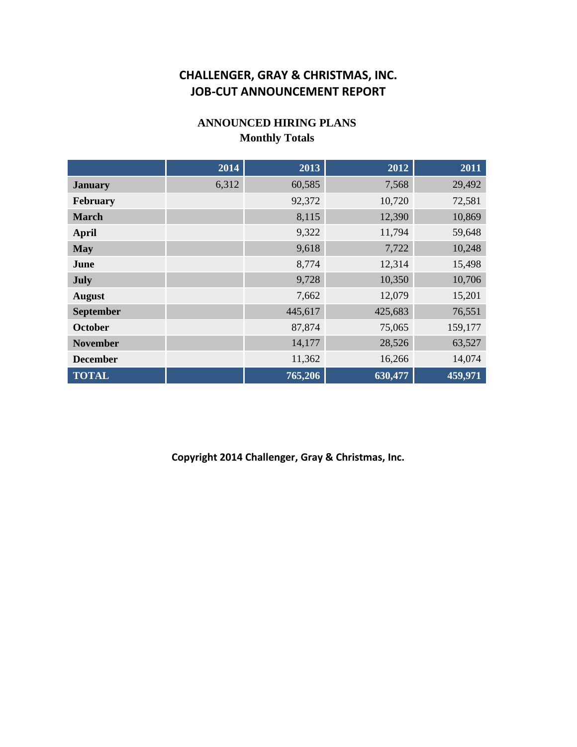### **ANNOUNCED HIRING PLANS Monthly Totals**

|                  | 2014  | 2013    | 2012    | 2011    |
|------------------|-------|---------|---------|---------|
| <b>January</b>   | 6,312 | 60,585  | 7,568   | 29,492  |
| February         |       | 92,372  | 10,720  | 72,581  |
| <b>March</b>     |       | 8,115   | 12,390  | 10,869  |
| <b>April</b>     |       | 9,322   | 11,794  | 59,648  |
| <b>May</b>       |       | 9,618   | 7,722   | 10,248  |
| June             |       | 8,774   | 12,314  | 15,498  |
| July             |       | 9,728   | 10,350  | 10,706  |
| <b>August</b>    |       | 7,662   | 12,079  | 15,201  |
| <b>September</b> |       | 445,617 | 425,683 | 76,551  |
| <b>October</b>   |       | 87,874  | 75,065  | 159,177 |
| <b>November</b>  |       | 14,177  | 28,526  | 63,527  |
| <b>December</b>  |       | 11,362  | 16,266  | 14,074  |
| <b>TOTAL</b>     |       | 765,206 | 630,477 | 459,971 |